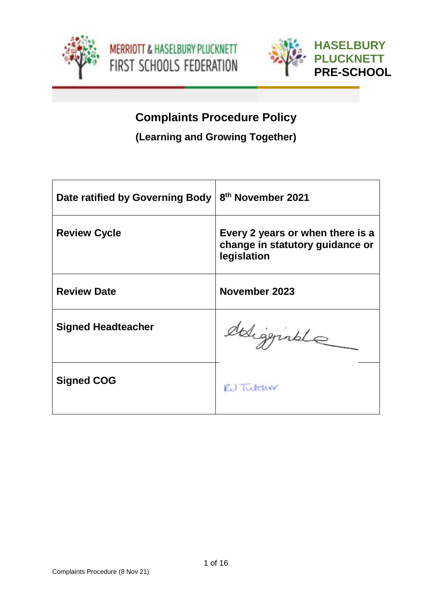



# **Complaints Procedure Policy**

**(Learning and Growing Together)**

| Date ratified by Governing Body | 8 <sup>th</sup> November 2021                                                      |
|---------------------------------|------------------------------------------------------------------------------------|
| <b>Review Cycle</b>             | Every 2 years or when there is a<br>change in statutory guidance or<br>legislation |
| <b>Review Date</b>              | November 2023                                                                      |
| <b>Signed Headteacher</b>       | deligginale                                                                        |
| <b>Signed COG</b>               | R.) Tutcher                                                                        |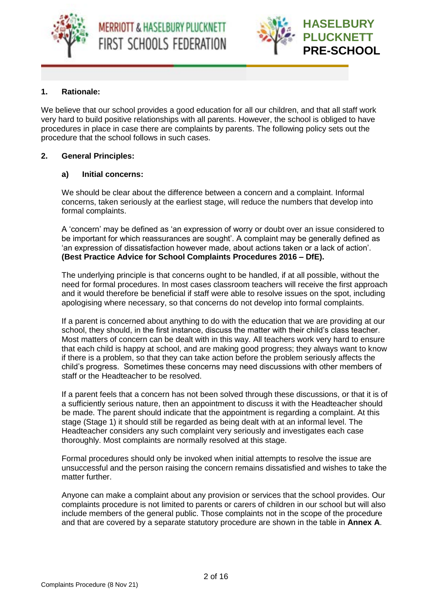



## **1. Rationale:**

We believe that our school provides a good education for all our children, and that all staff work very hard to build positive relationships with all parents. However, the school is obliged to have procedures in place in case there are complaints by parents. The following policy sets out the procedure that the school follows in such cases.

## **2. General Principles:**

## **a) Initial concerns:**

We should be clear about the difference between a concern and a complaint. Informal concerns, taken seriously at the earliest stage, will reduce the numbers that develop into formal complaints.

A 'concern' may be defined as 'an expression of worry or doubt over an issue considered to be important for which reassurances are sought'. A complaint may be generally defined as 'an expression of dissatisfaction however made, about actions taken or a lack of action'. **(Best Practice Advice for School Complaints Procedures 2016 – DfE).**

The underlying principle is that concerns ought to be handled, if at all possible, without the need for formal procedures. In most cases classroom teachers will receive the first approach and it would therefore be beneficial if staff were able to resolve issues on the spot, including apologising where necessary, so that concerns do not develop into formal complaints.

If a parent is concerned about anything to do with the education that we are providing at our school, they should, in the first instance, discuss the matter with their child's class teacher. Most matters of concern can be dealt with in this way. All teachers work very hard to ensure that each child is happy at school, and are making good progress; they always want to know if there is a problem, so that they can take action before the problem seriously affects the child's progress. Sometimes these concerns may need discussions with other members of staff or the Headteacher to be resolved.

If a parent feels that a concern has not been solved through these discussions, or that it is of a sufficiently serious nature, then an appointment to discuss it with the Headteacher should be made. The parent should indicate that the appointment is regarding a complaint. At this stage (Stage 1) it should still be regarded as being dealt with at an informal level. The Headteacher considers any such complaint very seriously and investigates each case thoroughly. Most complaints are normally resolved at this stage.

Formal procedures should only be invoked when initial attempts to resolve the issue are unsuccessful and the person raising the concern remains dissatisfied and wishes to take the matter further.

Anyone can make a complaint about any provision or services that the school provides. Our complaints procedure is not limited to parents or carers of children in our school but will also include members of the general public. Those complaints not in the scope of the procedure and that are covered by a separate statutory procedure are shown in the table in **Annex A**.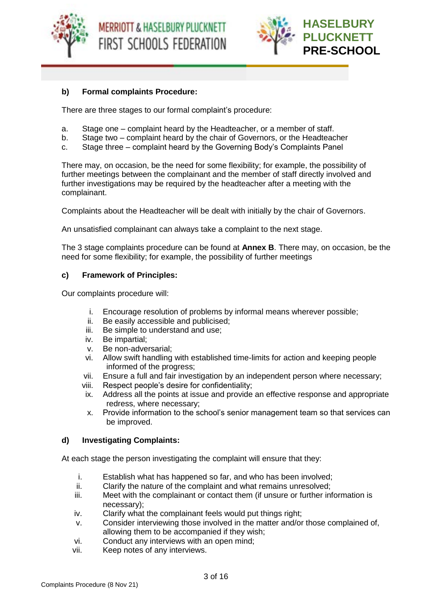





## **b) Formal complaints Procedure:**

There are three stages to our formal complaint's procedure:

- a. Stage one complaint heard by the Headteacher, or a member of staff.
- b. Stage two complaint heard by the chair of Governors, or the Headteacher
- c. Stage three complaint heard by the Governing Body's Complaints Panel

There may, on occasion, be the need for some flexibility; for example, the possibility of further meetings between the complainant and the member of staff directly involved and further investigations may be required by the headteacher after a meeting with the complainant.

Complaints about the Headteacher will be dealt with initially by the chair of Governors.

An unsatisfied complainant can always take a complaint to the next stage.

The 3 stage complaints procedure can be found at **Annex B**. There may, on occasion, be the need for some flexibility; for example, the possibility of further meetings

#### **c) Framework of Principles:**

Our complaints procedure will:

- i. Encourage resolution of problems by informal means wherever possible;
- ii. Be easily accessible and publicised;
- iii. Be simple to understand and use:
- iv. Be impartial;
- v. Be non-adversarial;
- vi. Allow swift handling with established time-limits for action and keeping people informed of the progress;
- vii. Ensure a full and fair investigation by an independent person where necessary;
- viii. Respect people's desire for confidentiality;
- ix. Address all the points at issue and provide an effective response and appropriate redress, where necessary;
- x. Provide information to the school's senior management team so that services can be improved.

## **d) Investigating Complaints:**

At each stage the person investigating the complaint will ensure that they:

- i. Establish what has happened so far, and who has been involved;
- ii. Clarify the nature of the complaint and what remains unresolved;
- iii. Meet with the complainant or contact them (if unsure or further information is necessary);
- iv. Clarify what the complainant feels would put things right;
- v. Consider interviewing those involved in the matter and/or those complained of, allowing them to be accompanied if they wish;
- vi. Conduct any interviews with an open mind;
- vii. Keep notes of any interviews.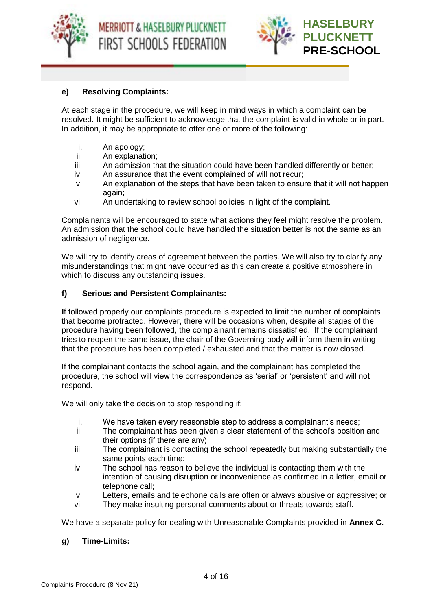

**MERRIOTT & HASELBURY PLUCKNETT** FIRST SCHOOLS FEDERATION



## **e) Resolving Complaints:**

At each stage in the procedure, we will keep in mind ways in which a complaint can be resolved. It might be sufficient to acknowledge that the complaint is valid in whole or in part. In addition, it may be appropriate to offer one or more of the following:

- i. An apology;
- ii. An explanation;
- iii. An admission that the situation could have been handled differently or better;
- iv. An assurance that the event complained of will not recur;
- v. An explanation of the steps that have been taken to ensure that it will not happen again;
- vi. An undertaking to review school policies in light of the complaint.

Complainants will be encouraged to state what actions they feel might resolve the problem. An admission that the school could have handled the situation better is not the same as an admission of negligence.

We will try to identify areas of agreement between the parties. We will also try to clarify any misunderstandings that might have occurred as this can create a positive atmosphere in which to discuss any outstanding issues.

#### **f) Serious and Persistent Complainants:**

**I**f followed properly our complaints procedure is expected to limit the number of complaints that become protracted. However, there will be occasions when, despite all stages of the procedure having been followed, the complainant remains dissatisfied. If the complainant tries to reopen the same issue, the chair of the Governing body will inform them in writing that the procedure has been completed / exhausted and that the matter is now closed.

If the complainant contacts the school again, and the complainant has completed the procedure, the school will view the correspondence as 'serial' or 'persistent' and will not respond.

We will only take the decision to stop responding if:

- i. We have taken every reasonable step to address a complainant's needs;
- ii. The complainant has been given a clear statement of the school's position and their options (if there are any);
- iii. The complainant is contacting the school repeatedly but making substantially the same points each time;
- iv. The school has reason to believe the individual is contacting them with the intention of causing disruption or inconvenience as confirmed in a letter, email or telephone call;
- v. Letters, emails and telephone calls are often or always abusive or aggressive; or
- vi. They make insulting personal comments about or threats towards staff.

We have a separate policy for dealing with Unreasonable Complaints provided in **Annex C.**

#### **g) Time-Limits:**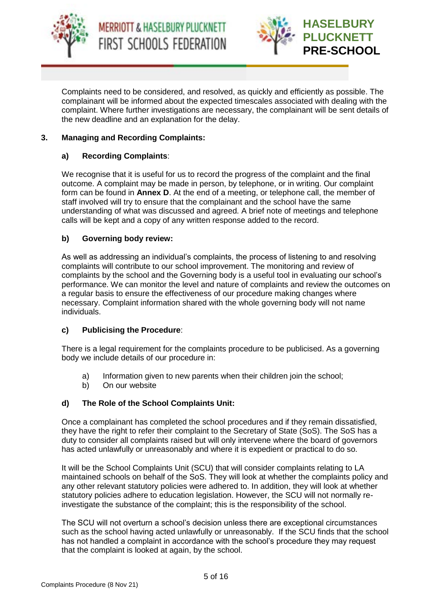



Complaints need to be considered, and resolved, as quickly and efficiently as possible. The complainant will be informed about the expected timescales associated with dealing with the complaint. Where further investigations are necessary, the complainant will be sent details of the new deadline and an explanation for the delay.

## **3. Managing and Recording Complaints:**

## **a) Recording Complaints**:

We recognise that it is useful for us to record the progress of the complaint and the final outcome. A complaint may be made in person, by telephone, or in writing. Our complaint form can be found in **Annex D**. At the end of a meeting, or telephone call, the member of staff involved will try to ensure that the complainant and the school have the same understanding of what was discussed and agreed. A brief note of meetings and telephone calls will be kept and a copy of any written response added to the record.

#### **b) Governing body review:**

As well as addressing an individual's complaints, the process of listening to and resolving complaints will contribute to our school improvement. The monitoring and review of complaints by the school and the Governing body is a useful tool in evaluating our school's performance. We can monitor the level and nature of complaints and review the outcomes on a regular basis to ensure the effectiveness of our procedure making changes where necessary. Complaint information shared with the whole governing body will not name individuals.

#### **c) Publicising the Procedure**:

There is a legal requirement for the complaints procedure to be publicised. As a governing body we include details of our procedure in:

- a) Information given to new parents when their children join the school:
- b) On our website

## **d) The Role of the School Complaints Unit:**

Once a complainant has completed the school procedures and if they remain dissatisfied, they have the right to refer their complaint to the Secretary of State (SoS). The SoS has a duty to consider all complaints raised but will only intervene where the board of governors has acted unlawfully or unreasonably and where it is expedient or practical to do so.

It will be the School Complaints Unit (SCU) that will consider complaints relating to LA maintained schools on behalf of the SoS. They will look at whether the complaints policy and any other relevant statutory policies were adhered to. In addition, they will look at whether statutory policies adhere to education legislation. However, the SCU will not normally reinvestigate the substance of the complaint; this is the responsibility of the school.

The SCU will not overturn a school's decision unless there are exceptional circumstances such as the school having acted unlawfully or unreasonably. If the SCU finds that the school has not handled a complaint in accordance with the school's procedure they may request that the complaint is looked at again, by the school.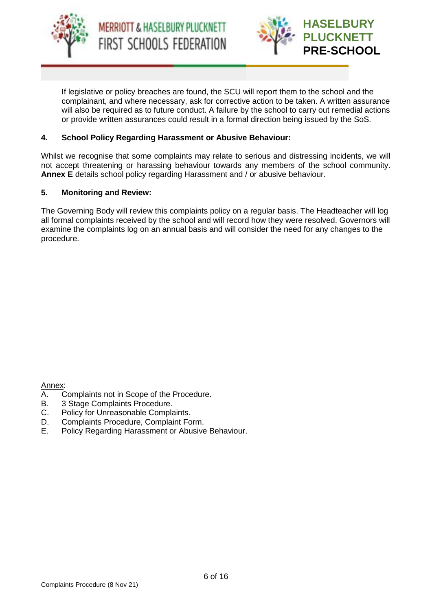



If legislative or policy breaches are found, the SCU will report them to the school and the complainant, and where necessary, ask for corrective action to be taken. A written assurance will also be required as to future conduct. A failure by the school to carry out remedial actions or provide written assurances could result in a formal direction being issued by the SoS.

## **4. School Policy Regarding Harassment or Abusive Behaviour:**

Whilst we recognise that some complaints may relate to serious and distressing incidents, we will not accept threatening or harassing behaviour towards any members of the school community. **Annex E** details school policy regarding Harassment and / or abusive behaviour.

#### **5. Monitoring and Review:**

The Governing Body will review this complaints policy on a regular basis. The Headteacher will log all formal complaints received by the school and will record how they were resolved. Governors will examine the complaints log on an annual basis and will consider the need for any changes to the procedure.

Annex:

- A. Complaints not in Scope of the Procedure.
- B. 3 Stage Complaints Procedure.
- C. Policy for Unreasonable Complaints.
- D. Complaints Procedure, Complaint Form.
- E. Policy Regarding Harassment or Abusive Behaviour.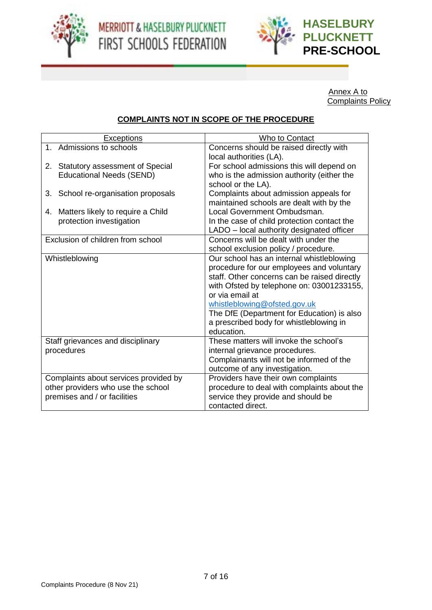



Annex A to Complaints Policy

# **COMPLAINTS NOT IN SCOPE OF THE PROCEDURE**

| <b>Exceptions</b>                                                                                           | <b>Who to Contact</b>                                                                                                                                                                                                                                                                                                                         |
|-------------------------------------------------------------------------------------------------------------|-----------------------------------------------------------------------------------------------------------------------------------------------------------------------------------------------------------------------------------------------------------------------------------------------------------------------------------------------|
| Admissions to schools<br>$1_{-}$                                                                            | Concerns should be raised directly with<br>local authorities (LA).                                                                                                                                                                                                                                                                            |
| 2. Statutory assessment of Special<br><b>Educational Needs (SEND)</b>                                       | For school admissions this will depend on<br>who is the admission authority (either the<br>school or the LA).                                                                                                                                                                                                                                 |
| School re-organisation proposals<br>3.                                                                      | Complaints about admission appeals for<br>maintained schools are dealt with by the                                                                                                                                                                                                                                                            |
| Matters likely to require a Child<br>4.<br>protection investigation                                         | Local Government Ombudsman.<br>In the case of child protection contact the<br>LADO - local authority designated officer                                                                                                                                                                                                                       |
| Exclusion of children from school                                                                           | Concerns will be dealt with under the<br>school exclusion policy / procedure.                                                                                                                                                                                                                                                                 |
| Whistleblowing                                                                                              | Our school has an internal whistleblowing<br>procedure for our employees and voluntary<br>staff. Other concerns can be raised directly<br>with Ofsted by telephone on: 03001233155,<br>or via email at<br>whistleblowing@ofsted.gov.uk<br>The DfE (Department for Education) is also<br>a prescribed body for whistleblowing in<br>education. |
| Staff grievances and disciplinary<br>procedures                                                             | These matters will invoke the school's<br>internal grievance procedures.<br>Complainants will not be informed of the<br>outcome of any investigation.                                                                                                                                                                                         |
| Complaints about services provided by<br>other providers who use the school<br>premises and / or facilities | Providers have their own complaints<br>procedure to deal with complaints about the<br>service they provide and should be<br>contacted direct.                                                                                                                                                                                                 |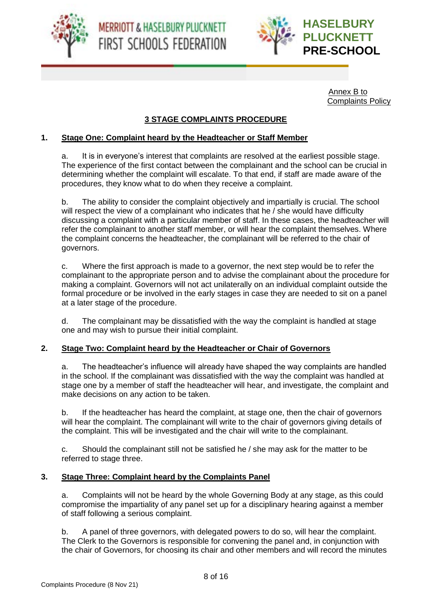



Annex B to Complaints Policy

## **3 STAGE COMPLAINTS PROCEDURE**

#### **1. Stage One: Complaint heard by the Headteacher or Staff Member**

a. It is in everyone's interest that complaints are resolved at the earliest possible stage. The experience of the first contact between the complainant and the school can be crucial in determining whether the complaint will escalate. To that end, if staff are made aware of the procedures, they know what to do when they receive a complaint.

b. The ability to consider the complaint objectively and impartially is crucial. The school will respect the view of a complainant who indicates that he / she would have difficulty discussing a complaint with a particular member of staff. In these cases, the headteacher will refer the complainant to another staff member, or will hear the complaint themselves. Where the complaint concerns the headteacher, the complainant will be referred to the chair of governors.

c. Where the first approach is made to a governor, the next step would be to refer the complainant to the appropriate person and to advise the complainant about the procedure for making a complaint. Governors will not act unilaterally on an individual complaint outside the formal procedure or be involved in the early stages in case they are needed to sit on a panel at a later stage of the procedure.

d. The complainant may be dissatisfied with the way the complaint is handled at stage one and may wish to pursue their initial complaint.

#### **2. Stage Two: Complaint heard by the Headteacher or Chair of Governors**

a. The headteacher's influence will already have shaped the way complaints are handled in the school. If the complainant was dissatisfied with the way the complaint was handled at stage one by a member of staff the headteacher will hear, and investigate, the complaint and make decisions on any action to be taken.

b. If the headteacher has heard the complaint, at stage one, then the chair of governors will hear the complaint. The complainant will write to the chair of governors giving details of the complaint. This will be investigated and the chair will write to the complainant.

c. Should the complainant still not be satisfied he / she may ask for the matter to be referred to stage three.

#### **3. Stage Three: Complaint heard by the Complaints Panel**

a. Complaints will not be heard by the whole Governing Body at any stage, as this could compromise the impartiality of any panel set up for a disciplinary hearing against a member of staff following a serious complaint.

b. A panel of three governors, with delegated powers to do so, will hear the complaint. The Clerk to the Governors is responsible for convening the panel and, in conjunction with the chair of Governors, for choosing its chair and other members and will record the minutes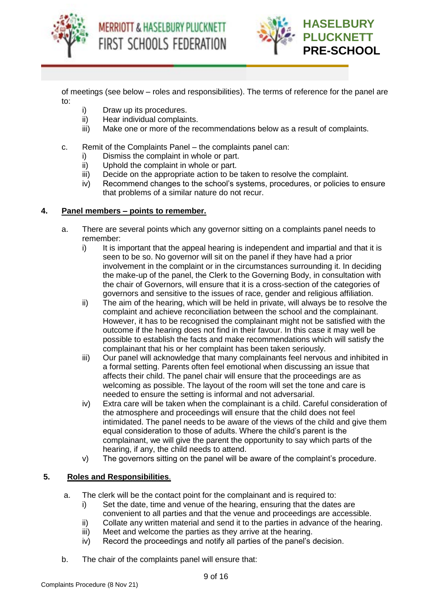





of meetings (see below – roles and responsibilities). The terms of reference for the panel are to:

- i) Draw up its procedures.
- ii) Hear individual complaints.
- iii) Make one or more of the recommendations below as a result of complaints.
- c. Remit of the Complaints Panel the complaints panel can:
	- i) Dismiss the complaint in whole or part.
	- ii) Uphold the complaint in whole or part.
	- iii) Decide on the appropriate action to be taken to resolve the complaint.
	- iv) Recommend changes to the school's systems, procedures, or policies to ensure that problems of a similar nature do not recur.

#### **4. Panel members – points to remember.**

- a. There are several points which any governor sitting on a complaints panel needs to remember:
	- i) It is important that the appeal hearing is independent and impartial and that it is seen to be so. No governor will sit on the panel if they have had a prior involvement in the complaint or in the circumstances surrounding it. In deciding the make-up of the panel, the Clerk to the Governing Body, in consultation with the chair of Governors, will ensure that it is a cross-section of the categories of governors and sensitive to the issues of race, gender and religious affiliation.
	- ii) The aim of the hearing, which will be held in private, will always be to resolve the complaint and achieve reconciliation between the school and the complainant. However, it has to be recognised the complainant might not be satisfied with the outcome if the hearing does not find in their favour. In this case it may well be possible to establish the facts and make recommendations which will satisfy the complainant that his or her complaint has been taken seriously.
	- iii) Our panel will acknowledge that many complainants feel nervous and inhibited in a formal setting. Parents often feel emotional when discussing an issue that affects their child. The panel chair will ensure that the proceedings are as welcoming as possible. The layout of the room will set the tone and care is needed to ensure the setting is informal and not adversarial.
	- iv) Extra care will be taken when the complainant is a child. Careful consideration of the atmosphere and proceedings will ensure that the child does not feel intimidated. The panel needs to be aware of the views of the child and give them equal consideration to those of adults. Where the child's parent is the complainant, we will give the parent the opportunity to say which parts of the hearing, if any, the child needs to attend.
	- v) The governors sitting on the panel will be aware of the complaint's procedure.

## **5. Roles and Responsibilities**.

- a. The clerk will be the contact point for the complainant and is required to:
	- i) Set the date, time and venue of the hearing, ensuring that the dates are convenient to all parties and that the venue and proceedings are accessible.
	- ii) Collate any written material and send it to the parties in advance of the hearing.
	- iii) Meet and welcome the parties as they arrive at the hearing.
	- iv) Record the proceedings and notify all parties of the panel's decision.
- b. The chair of the complaints panel will ensure that: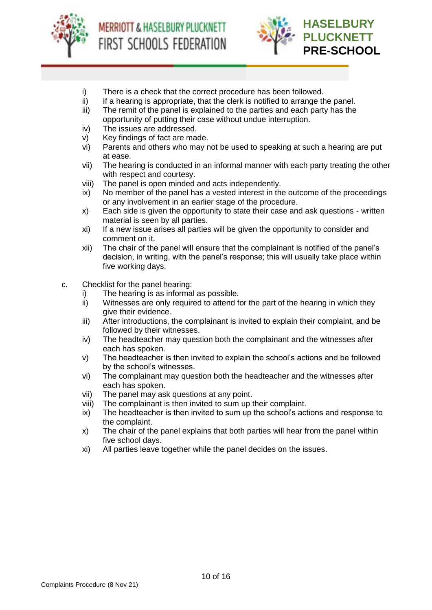



- i) There is a check that the correct procedure has been followed.
- ii) If a hearing is appropriate, that the clerk is notified to arrange the panel.
- iii) The remit of the panel is explained to the parties and each party has the opportunity of putting their case without undue interruption.
- iv) The issues are addressed.
- v) Key findings of fact are made.
- vi) Parents and others who may not be used to speaking at such a hearing are put at ease.
- vii) The hearing is conducted in an informal manner with each party treating the other with respect and courtesy.
- viii) The panel is open minded and acts independently.
- ix) No member of the panel has a vested interest in the outcome of the proceedings or any involvement in an earlier stage of the procedure.
- x) Each side is given the opportunity to state their case and ask questions written material is seen by all parties.
- xi) If a new issue arises all parties will be given the opportunity to consider and comment on it.
- xii) The chair of the panel will ensure that the complainant is notified of the panel's decision, in writing, with the panel's response; this will usually take place within five working days.
- c. Checklist for the panel hearing:
	- i) The hearing is as informal as possible.
	- ii) Witnesses are only required to attend for the part of the hearing in which they give their evidence.
	- iii) After introductions, the complainant is invited to explain their complaint, and be followed by their witnesses.
	- iv) The headteacher may question both the complainant and the witnesses after each has spoken.
	- v) The headteacher is then invited to explain the school's actions and be followed by the school's witnesses.
	- vi) The complainant may question both the headteacher and the witnesses after each has spoken.
	- vii) The panel may ask questions at any point.
	- viii) The complainant is then invited to sum up their complaint.
	- ix) The headteacher is then invited to sum up the school's actions and response to the complaint.
	- x) The chair of the panel explains that both parties will hear from the panel within five school days.
	- xi) All parties leave together while the panel decides on the issues.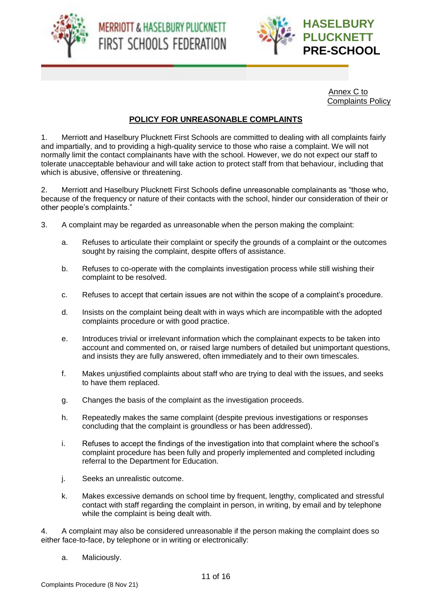

MERRIOTT & HASELBURY PLUCKNETT FIRST SCHOOLS FEDERATION



Annex C to Complaints Policy

## **POLICY FOR UNREASONABLE COMPLAINTS**

1. Merriott and Haselbury Plucknett First Schools are committed to dealing with all complaints fairly and impartially, and to providing a high-quality service to those who raise a complaint. We will not normally limit the contact complainants have with the school. However, we do not expect our staff to tolerate unacceptable behaviour and will take action to protect staff from that behaviour, including that which is abusive, offensive or threatening.

2. Merriott and Haselbury Plucknett First Schools define unreasonable complainants as "those who, because of the frequency or nature of their contacts with the school, hinder our consideration of their or other people's complaints."

- 3. A complaint may be regarded as unreasonable when the person making the complaint:
	- a. Refuses to articulate their complaint or specify the grounds of a complaint or the outcomes sought by raising the complaint, despite offers of assistance.
	- b. Refuses to co-operate with the complaints investigation process while still wishing their complaint to be resolved.
	- c. Refuses to accept that certain issues are not within the scope of a complaint's procedure.
	- d. Insists on the complaint being dealt with in ways which are incompatible with the adopted complaints procedure or with good practice.
	- e. Introduces trivial or irrelevant information which the complainant expects to be taken into account and commented on, or raised large numbers of detailed but unimportant questions, and insists they are fully answered, often immediately and to their own timescales.
	- f. Makes unjustified complaints about staff who are trying to deal with the issues, and seeks to have them replaced.
	- g. Changes the basis of the complaint as the investigation proceeds.
	- h. Repeatedly makes the same complaint (despite previous investigations or responses concluding that the complaint is groundless or has been addressed).
	- i. Refuses to accept the findings of the investigation into that complaint where the school's complaint procedure has been fully and properly implemented and completed including referral to the Department for Education.
	- j. Seeks an unrealistic outcome.
	- k. Makes excessive demands on school time by frequent, lengthy, complicated and stressful contact with staff regarding the complaint in person, in writing, by email and by telephone while the complaint is being dealt with.

4. A complaint may also be considered unreasonable if the person making the complaint does so either face-to-face, by telephone or in writing or electronically:

a. Maliciously.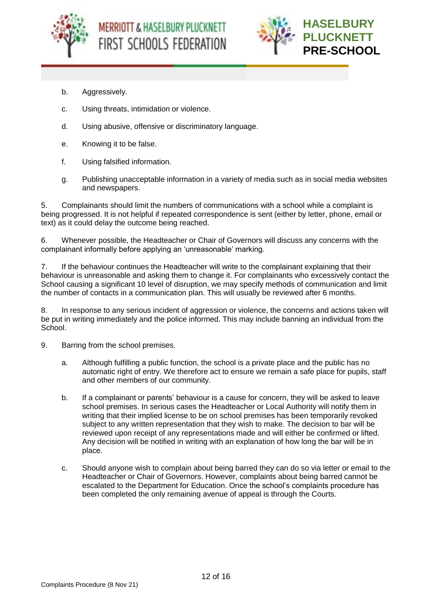



- b. Aggressively.
- c. Using threats, intimidation or violence.
- d. Using abusive, offensive or discriminatory language.
- e. Knowing it to be false.
- f. Using falsified information.
- g. Publishing unacceptable information in a variety of media such as in social media websites and newspapers.

5. Complainants should limit the numbers of communications with a school while a complaint is being progressed. It is not helpful if repeated correspondence is sent (either by letter, phone, email or text) as it could delay the outcome being reached.

6. Whenever possible, the Headteacher or Chair of Governors will discuss any concerns with the complainant informally before applying an 'unreasonable' marking.

7. If the behaviour continues the Headteacher will write to the complainant explaining that their behaviour is unreasonable and asking them to change it. For complainants who excessively contact the School causing a significant 10 level of disruption, we may specify methods of communication and limit the number of contacts in a communication plan. This will usually be reviewed after 6 months.

8. In response to any serious incident of aggression or violence, the concerns and actions taken will be put in writing immediately and the police informed. This may include banning an individual from the School.

- 9. Barring from the school premises.
	- a. Although fulfilling a public function, the school is a private place and the public has no automatic right of entry. We therefore act to ensure we remain a safe place for pupils, staff and other members of our community.
	- b. If a complainant or parents' behaviour is a cause for concern, they will be asked to leave school premises. In serious cases the Headteacher or Local Authority will notify them in writing that their implied license to be on school premises has been temporarily revoked subject to any written representation that they wish to make. The decision to bar will be reviewed upon receipt of any representations made and will either be confirmed or lifted. Any decision will be notified in writing with an explanation of how long the bar will be in place.
	- c. Should anyone wish to complain about being barred they can do so via letter or email to the Headteacher or Chair of Governors. However, complaints about being barred cannot be escalated to the Department for Education. Once the school's complaints procedure has been completed the only remaining avenue of appeal is through the Courts.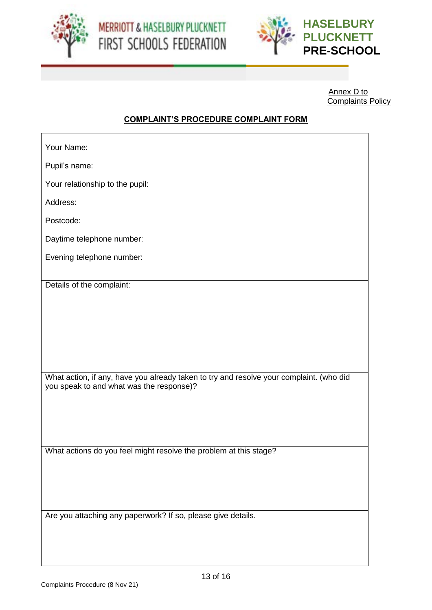



Annex D to Complaints Policy

# **COMPLAINT'S PROCEDURE COMPLAINT FORM**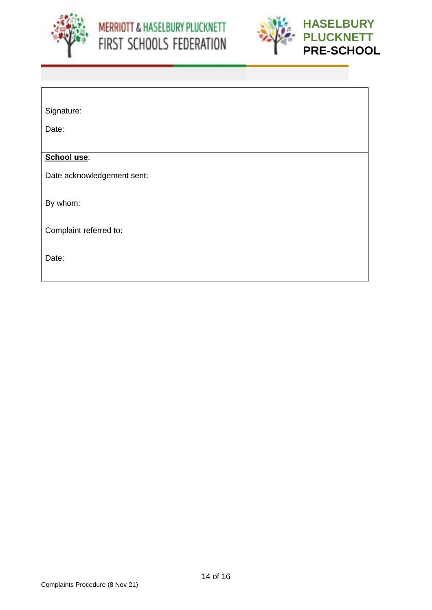



| Signature: |  |
|------------|--|
|            |  |

Date:

#### **School use**:

Date acknowledgement sent:

By whom:

Complaint referred to:

Date: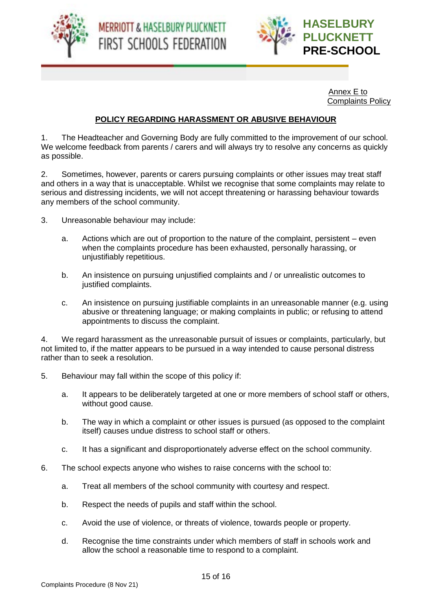





Annex E to Complaints Policy

## **POLICY REGARDING HARASSMENT OR ABUSIVE BEHAVIOUR**

1. The Headteacher and Governing Body are fully committed to the improvement of our school. We welcome feedback from parents / carers and will always try to resolve any concerns as quickly as possible.

2. Sometimes, however, parents or carers pursuing complaints or other issues may treat staff and others in a way that is unacceptable. Whilst we recognise that some complaints may relate to serious and distressing incidents, we will not accept threatening or harassing behaviour towards any members of the school community.

- 3. Unreasonable behaviour may include:
	- a. Actions which are out of proportion to the nature of the complaint, persistent even when the complaints procedure has been exhausted, personally harassing, or unjustifiably repetitious.
	- b. An insistence on pursuing unjustified complaints and / or unrealistic outcomes to justified complaints.
	- c. An insistence on pursuing justifiable complaints in an unreasonable manner (e.g. using abusive or threatening language; or making complaints in public; or refusing to attend appointments to discuss the complaint.

4. We regard harassment as the unreasonable pursuit of issues or complaints, particularly, but not limited to, if the matter appears to be pursued in a way intended to cause personal distress rather than to seek a resolution.

- 5. Behaviour may fall within the scope of this policy if:
	- a. It appears to be deliberately targeted at one or more members of school staff or others, without good cause.
	- b. The way in which a complaint or other issues is pursued (as opposed to the complaint itself) causes undue distress to school staff or others.
	- c. It has a significant and disproportionately adverse effect on the school community.
- 6. The school expects anyone who wishes to raise concerns with the school to:
	- a. Treat all members of the school community with courtesy and respect.
	- b. Respect the needs of pupils and staff within the school.
	- c. Avoid the use of violence, or threats of violence, towards people or property.
	- d. Recognise the time constraints under which members of staff in schools work and allow the school a reasonable time to respond to a complaint.